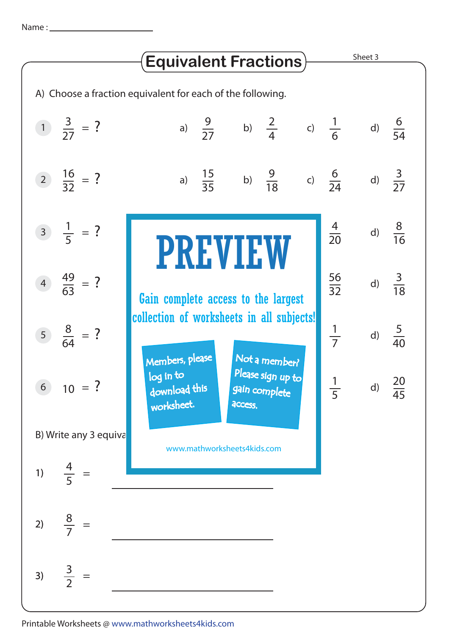